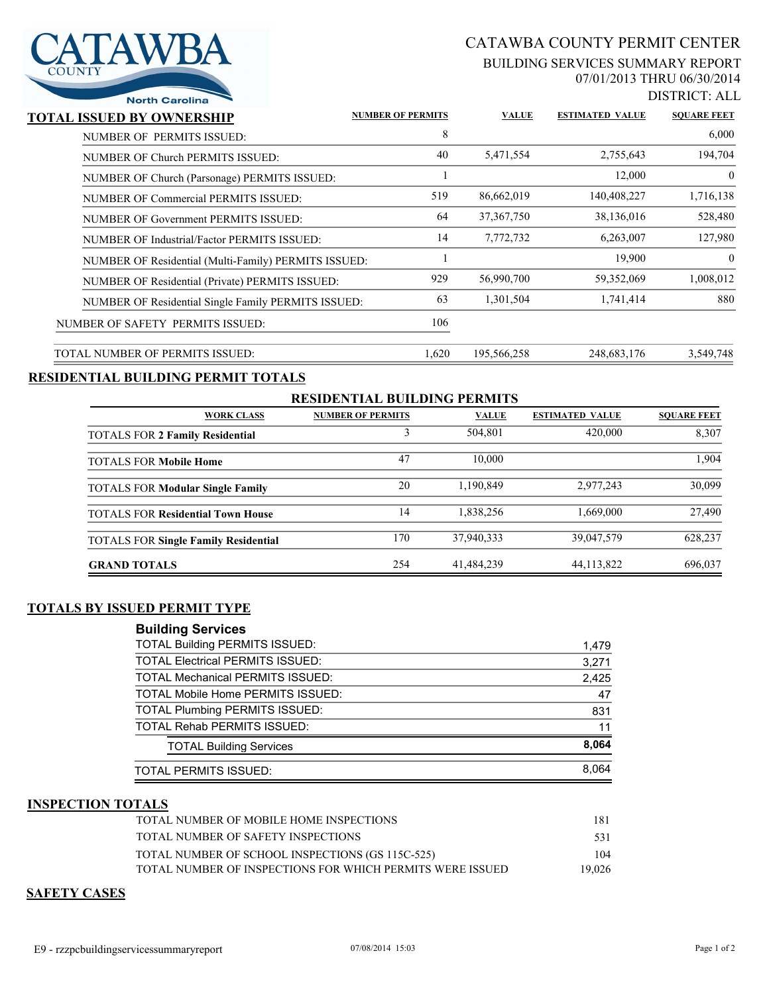

# CATAWBA COUNTY PERMIT CENTER

#### BUILDING SERVICES SUMMARY REPORT 07/01/2013 THRU 06/30/2014

DISTRICT: ALL

|                    |                        |              |                          | <b>North Garolina</b>                                |
|--------------------|------------------------|--------------|--------------------------|------------------------------------------------------|
| <b>SOUARE FEET</b> | <b>ESTIMATED VALUE</b> | <b>VALUE</b> | <b>NUMBER OF PERMITS</b> | <b>TOTAL ISSUED BY OWNERSHIP</b>                     |
| 6,000              |                        |              | 8                        | NUMBER OF PERMITS ISSUED:                            |
| 194,704            | 2,755,643              | 5,471,554    | 40                       | NUMBER OF Church PERMITS ISSUED:                     |
| $\mathbf{0}$       | 12,000                 |              |                          | NUMBER OF Church (Parsonage) PERMITS ISSUED:         |
| 1,716,138          | 140,408,227            | 86,662,019   | 519                      | NUMBER OF Commercial PERMITS ISSUED:                 |
| 528,480            | 38,136,016             | 37, 367, 750 | 64                       | NUMBER OF Government PERMITS ISSUED:                 |
| 127,980            | 6,263,007              | 7,772,732    | 14                       | NUMBER OF Industrial/Factor PERMITS ISSUED:          |
| $\mathbf{0}$       | 19,900                 |              |                          | NUMBER OF Residential (Multi-Family) PERMITS ISSUED: |
| 1,008,012          | 59,352,069             | 56,990,700   | 929                      | NUMBER OF Residential (Private) PERMITS ISSUED:      |
| 880                | 1,741,414              | 1,301,504    | 63                       | NUMBER OF Residential Single Family PERMITS ISSUED:  |
|                    |                        |              | 106                      | NUMBER OF SAFETY PERMITS ISSUED:                     |
| 3,549,748          | 248,683,176            | 195,566,258  | 1,620                    | TOTAL NUMBER OF PERMITS ISSUED:                      |

## **RESIDENTIAL BUILDING PERMIT TOTALS**

| <b>RESIDENTIAL BUILDING PERMITS</b>         |                          |              |                        |                    |  |  |  |
|---------------------------------------------|--------------------------|--------------|------------------------|--------------------|--|--|--|
| <b>WORK CLASS</b>                           | <b>NUMBER OF PERMITS</b> | <b>VALUE</b> | <b>ESTIMATED VALUE</b> | <b>SOUARE FEET</b> |  |  |  |
| <b>TOTALS FOR 2 Family Residential</b>      |                          | 504,801      | 420,000                | 8,307              |  |  |  |
| <b>TOTALS FOR Mobile Home</b>               | 47                       | 10.000       |                        | 1.904              |  |  |  |
| <b>TOTALS FOR Modular Single Family</b>     | 20                       | 1,190,849    | 2,977,243              | 30,099             |  |  |  |
| <b>TOTALS FOR Residential Town House</b>    | 14                       | 1,838,256    | 1,669,000              | 27,490             |  |  |  |
| <b>TOTALS FOR Single Family Residential</b> | 170                      | 37,940,333   | 39,047,579             | 628,237            |  |  |  |
| <b>GRAND TOTALS</b>                         | 254                      | 41,484,239   | 44, 113, 822           | 696,037            |  |  |  |

#### **TOTALS BY ISSUED PERMIT TYPE**

| <b>Building Services</b>                                                                   |
|--------------------------------------------------------------------------------------------|
| $T$ $\cap$ $T$ $\cap$ $\cap$ $\cap$ $T$ $\cap$ $T$ $\cap$ $T$ $\cap$ $T$ $\cap$ $T$ $\cap$ |

| <b>TOTAL Building PERMITS ISSUED:</b>    | 1,479 |
|------------------------------------------|-------|
| <b>TOTAL Electrical PERMITS ISSUED:</b>  | 3,271 |
| <b>TOTAL Mechanical PERMITS ISSUED:</b>  | 2,425 |
| <b>TOTAL Mobile Home PERMITS ISSUED:</b> | 47    |
| <b>TOTAL Plumbing PERMITS ISSUED:</b>    | 831   |
| <b>TOTAL Rehab PERMITS ISSUED:</b>       | 11    |
| <b>TOTAL Building Services</b>           | 8,064 |
| TOTAL PERMITS ISSUED:                    | 8,064 |

#### **INSPECTION TOTALS**

| TOTAL NUMBER OF MOBILE HOME INSPECTIONS                   | 181    |
|-----------------------------------------------------------|--------|
| TOTAL NUMBER OF SAFETY INSPECTIONS                        | 531    |
| TOTAL NUMBER OF SCHOOL INSPECTIONS (GS 115C-525)          | 104    |
| TOTAL NUMBER OF INSPECTIONS FOR WHICH PERMITS WERE ISSUED | 19.026 |

### **SAFETY CASES**